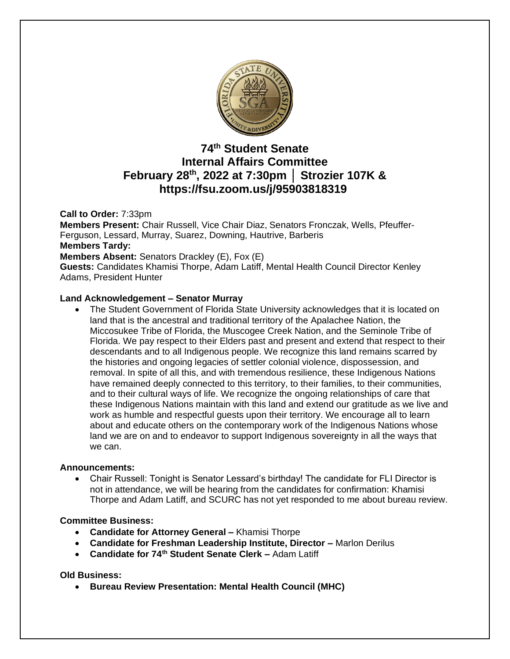

# **74 th Student Senate Internal Affairs Committee February 28th, 2022 at 7:30pm │ Strozier 107K & https://fsu.zoom.us/j/95903818319**

### **Call to Order:** 7:33pm

**Members Present:** Chair Russell, Vice Chair Diaz, Senators Fronczak, Wells, Pfeuffer-Ferguson, Lessard, Murray, Suarez, Downing, Hautrive, Barberis **Members Tardy: Members Absent:** Senators Drackley (E), Fox (E) **Guests:** Candidates Khamisi Thorpe, Adam Latiff, Mental Health Council Director Kenley Adams, President Hunter

### **Land Acknowledgement – Senator Murray**

The Student Government of Florida State University acknowledges that it is located on land that is the ancestral and traditional territory of the Apalachee Nation, the Miccosukee Tribe of Florida, the Muscogee Creek Nation, and the Seminole Tribe of Florida. We pay respect to their Elders past and present and extend that respect to their descendants and to all Indigenous people. We recognize this land remains scarred by the histories and ongoing legacies of settler colonial violence, dispossession, and removal. In spite of all this, and with tremendous resilience, these Indigenous Nations have remained deeply connected to this territory, to their families, to their communities, and to their cultural ways of life. We recognize the ongoing relationships of care that these Indigenous Nations maintain with this land and extend our gratitude as we live and work as humble and respectful guests upon their territory. We encourage all to learn about and educate others on the contemporary work of the Indigenous Nations whose land we are on and to endeavor to support Indigenous sovereignty in all the ways that we can.

### **Announcements:**

• Chair Russell: Tonight is Senator Lessard's birthday! The candidate for FLI Director is not in attendance, we will be hearing from the candidates for confirmation: Khamisi Thorpe and Adam Latiff, and SCURC has not yet responded to me about bureau review.

### **Committee Business:**

- **Candidate for Attorney General –** Khamisi Thorpe
- **Candidate for Freshman Leadership Institute, Director –** Marlon Derilus
- **Candidate for 74th Student Senate Clerk –** Adam Latiff

### **Old Business:**

• **Bureau Review Presentation: Mental Health Council (MHC)**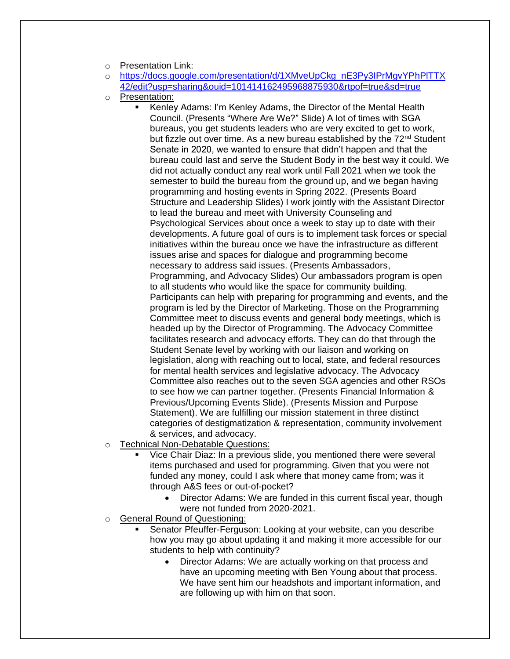- o Presentation Link:
- o [https://docs.google.com/presentation/d/1XMveUpCkg\\_nE3Py3IPrMgvYPhPlTTX](https://docs.google.com/presentation/d/1XMveUpCkg_nE3Py3IPrMgvYPhPlTTX42/edit?usp=sharing&ouid=101414162495968875930&rtpof=true&sd=true) [42/edit?usp=sharing&ouid=101414162495968875930&rtpof=true&sd=true](https://docs.google.com/presentation/d/1XMveUpCkg_nE3Py3IPrMgvYPhPlTTX42/edit?usp=sharing&ouid=101414162495968875930&rtpof=true&sd=true)
- o Presentation:
	- Kenley Adams: I'm Kenley Adams, the Director of the Mental Health Council. (Presents "Where Are We?" Slide) A lot of times with SGA bureaus, you get students leaders who are very excited to get to work, but fizzle out over time. As a new bureau established by the  $72<sup>nd</sup>$  Student Senate in 2020, we wanted to ensure that didn't happen and that the bureau could last and serve the Student Body in the best way it could. We did not actually conduct any real work until Fall 2021 when we took the semester to build the bureau from the ground up, and we began having programming and hosting events in Spring 2022. (Presents Board Structure and Leadership Slides) I work jointly with the Assistant Director to lead the bureau and meet with University Counseling and Psychological Services about once a week to stay up to date with their developments. A future goal of ours is to implement task forces or special initiatives within the bureau once we have the infrastructure as different issues arise and spaces for dialogue and programming become necessary to address said issues. (Presents Ambassadors, Programming, and Advocacy Slides) Our ambassadors program is open to all students who would like the space for community building. Participants can help with preparing for programming and events, and the program is led by the Director of Marketing. Those on the Programming Committee meet to discuss events and general body meetings, which is headed up by the Director of Programming. The Advocacy Committee facilitates research and advocacy efforts. They can do that through the Student Senate level by working with our liaison and working on legislation, along with reaching out to local, state, and federal resources for mental health services and legislative advocacy. The Advocacy Committee also reaches out to the seven SGA agencies and other RSOs to see how we can partner together. (Presents Financial Information & Previous/Upcoming Events Slide). (Presents Mission and Purpose Statement). We are fulfilling our mission statement in three distinct categories of destigmatization & representation, community involvement & services, and advocacy.
- o Technical Non-Debatable Questions:
	- Vice Chair Diaz: In a previous slide, you mentioned there were several items purchased and used for programming. Given that you were not funded any money, could I ask where that money came from; was it through A&S fees or out-of-pocket?
		- Director Adams: We are funded in this current fiscal year, though were not funded from 2020-2021.
- o General Round of Questioning:
	- Senator Pfeuffer-Ferguson: Looking at your website, can you describe how you may go about updating it and making it more accessible for our students to help with continuity?
		- Director Adams: We are actually working on that process and have an upcoming meeting with Ben Young about that process. We have sent him our headshots and important information, and are following up with him on that soon.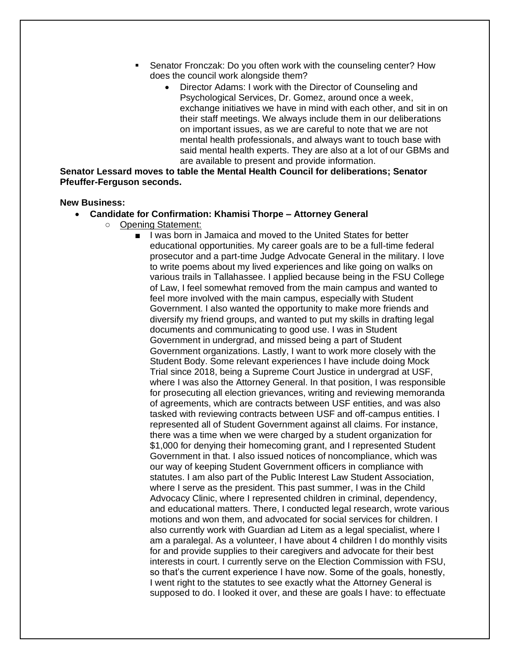- **EXE** Senator Fronczak: Do you often work with the counseling center? How does the council work alongside them?
	- Director Adams: I work with the Director of Counseling and Psychological Services, Dr. Gomez, around once a week, exchange initiatives we have in mind with each other, and sit in on their staff meetings. We always include them in our deliberations on important issues, as we are careful to note that we are not mental health professionals, and always want to touch base with said mental health experts. They are also at a lot of our GBMs and are available to present and provide information.

**Senator Lessard moves to table the Mental Health Council for deliberations; Senator Pfeuffer-Ferguson seconds.**

#### **New Business:**

- **Candidate for Confirmation: Khamisi Thorpe – Attorney General**
	- Opening Statement:
		- I was born in Jamaica and moved to the United States for better educational opportunities. My career goals are to be a full-time federal prosecutor and a part-time Judge Advocate General in the military. I love to write poems about my lived experiences and like going on walks on various trails in Tallahassee. I applied because being in the FSU College of Law, I feel somewhat removed from the main campus and wanted to feel more involved with the main campus, especially with Student Government. I also wanted the opportunity to make more friends and diversify my friend groups, and wanted to put my skills in drafting legal documents and communicating to good use. I was in Student Government in undergrad, and missed being a part of Student Government organizations. Lastly, I want to work more closely with the Student Body. Some relevant experiences I have include doing Mock Trial since 2018, being a Supreme Court Justice in undergrad at USF, where I was also the Attorney General. In that position, I was responsible for prosecuting all election grievances, writing and reviewing memoranda of agreements, which are contracts between USF entities, and was also tasked with reviewing contracts between USF and off-campus entities. I represented all of Student Government against all claims. For instance, there was a time when we were charged by a student organization for \$1,000 for denying their homecoming grant, and I represented Student Government in that. I also issued notices of noncompliance, which was our way of keeping Student Government officers in compliance with statutes. I am also part of the Public Interest Law Student Association, where I serve as the president. This past summer, I was in the Child Advocacy Clinic, where I represented children in criminal, dependency, and educational matters. There, I conducted legal research, wrote various motions and won them, and advocated for social services for children. I also currently work with Guardian ad Litem as a legal specialist, where I am a paralegal. As a volunteer, I have about 4 children I do monthly visits for and provide supplies to their caregivers and advocate for their best interests in court. I currently serve on the Election Commission with FSU, so that's the current experience I have now. Some of the goals, honestly, I went right to the statutes to see exactly what the Attorney General is supposed to do. I looked it over, and these are goals I have: to effectuate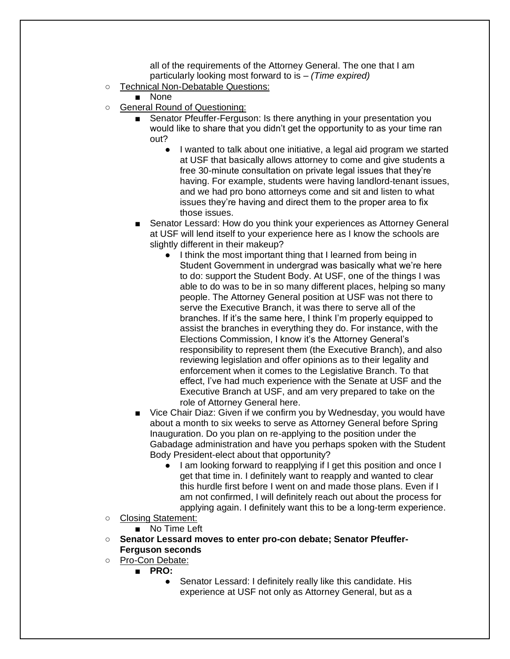all of the requirements of the Attorney General. The one that I am particularly looking most forward to is – *(Time expired)*

- Technical Non-Debatable Questions:
	- None
- General Round of Questioning:
	- Senator Pfeuffer-Ferguson: Is there anything in your presentation you would like to share that you didn't get the opportunity to as your time ran out?
		- I wanted to talk about one initiative, a legal aid program we started at USF that basically allows attorney to come and give students a free 30-minute consultation on private legal issues that they're having. For example, students were having landlord-tenant issues, and we had pro bono attorneys come and sit and listen to what issues they're having and direct them to the proper area to fix those issues.
	- Senator Lessard: How do you think your experiences as Attorney General at USF will lend itself to your experience here as I know the schools are slightly different in their makeup?
		- I think the most important thing that I learned from being in Student Government in undergrad was basically what we're here to do: support the Student Body. At USF, one of the things I was able to do was to be in so many different places, helping so many people. The Attorney General position at USF was not there to serve the Executive Branch, it was there to serve all of the branches. If it's the same here, I think I'm properly equipped to assist the branches in everything they do. For instance, with the Elections Commission, I know it's the Attorney General's responsibility to represent them (the Executive Branch), and also reviewing legislation and offer opinions as to their legality and enforcement when it comes to the Legislative Branch. To that effect, I've had much experience with the Senate at USF and the Executive Branch at USF, and am very prepared to take on the role of Attorney General here.
	- Vice Chair Diaz: Given if we confirm you by Wednesday, you would have about a month to six weeks to serve as Attorney General before Spring Inauguration. Do you plan on re-applying to the position under the Gabadage administration and have you perhaps spoken with the Student Body President-elect about that opportunity?
		- I am looking forward to reapplying if I get this position and once I get that time in. I definitely want to reapply and wanted to clear this hurdle first before I went on and made those plans. Even if I am not confirmed, I will definitely reach out about the process for applying again. I definitely want this to be a long-term experience.
- Closing Statement:
	- No Time Left
- **Senator Lessard moves to enter pro-con debate; Senator Pfeuffer-Ferguson seconds**
- Pro-Con Debate:
	- **PRO:**
		- Senator Lessard: I definitely really like this candidate. His experience at USF not only as Attorney General, but as a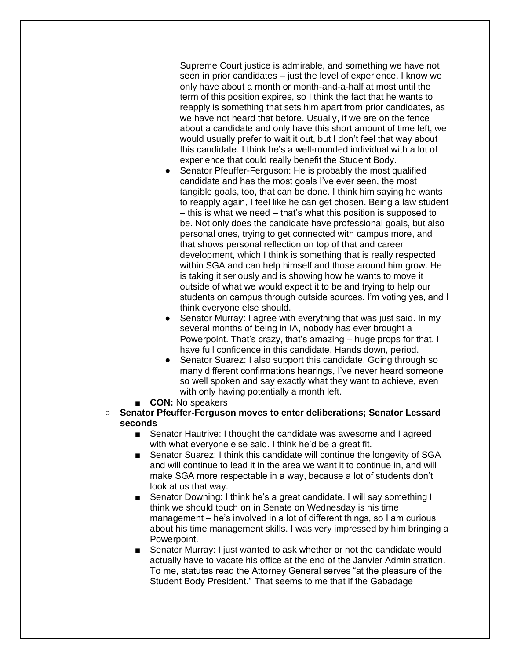Supreme Court justice is admirable, and something we have not seen in prior candidates – just the level of experience. I know we only have about a month or month-and-a-half at most until the term of this position expires, so I think the fact that he wants to reapply is something that sets him apart from prior candidates, as we have not heard that before. Usually, if we are on the fence about a candidate and only have this short amount of time left, we would usually prefer to wait it out, but I don't feel that way about this candidate. I think he's a well-rounded individual with a lot of experience that could really benefit the Student Body.

- Senator Pfeuffer-Ferguson: He is probably the most qualified candidate and has the most goals I've ever seen, the most tangible goals, too, that can be done. I think him saying he wants to reapply again, I feel like he can get chosen. Being a law student – this is what we need – that's what this position is supposed to be. Not only does the candidate have professional goals, but also personal ones, trying to get connected with campus more, and that shows personal reflection on top of that and career development, which I think is something that is really respected within SGA and can help himself and those around him grow. He is taking it seriously and is showing how he wants to move it outside of what we would expect it to be and trying to help our students on campus through outside sources. I'm voting yes, and I think everyone else should.
- Senator Murray: I agree with everything that was just said. In my several months of being in IA, nobody has ever brought a Powerpoint. That's crazy, that's amazing – huge props for that. I have full confidence in this candidate. Hands down, period.
- Senator Suarez: I also support this candidate. Going through so many different confirmations hearings, I've never heard someone so well spoken and say exactly what they want to achieve, even with only having potentially a month left.
- **CON:** No speakers
- **Senator Pfeuffer-Ferguson moves to enter deliberations; Senator Lessard seconds**
	- Senator Hautrive: I thought the candidate was awesome and I agreed with what everyone else said. I think he'd be a great fit.
	- Senator Suarez: I think this candidate will continue the longevity of SGA and will continue to lead it in the area we want it to continue in, and will make SGA more respectable in a way, because a lot of students don't look at us that way.
	- Senator Downing: I think he's a great candidate. I will say something I think we should touch on in Senate on Wednesday is his time management – he's involved in a lot of different things, so I am curious about his time management skills. I was very impressed by him bringing a Powerpoint.
	- Senator Murray: I just wanted to ask whether or not the candidate would actually have to vacate his office at the end of the Janvier Administration. To me, statutes read the Attorney General serves "at the pleasure of the Student Body President." That seems to me that if the Gabadage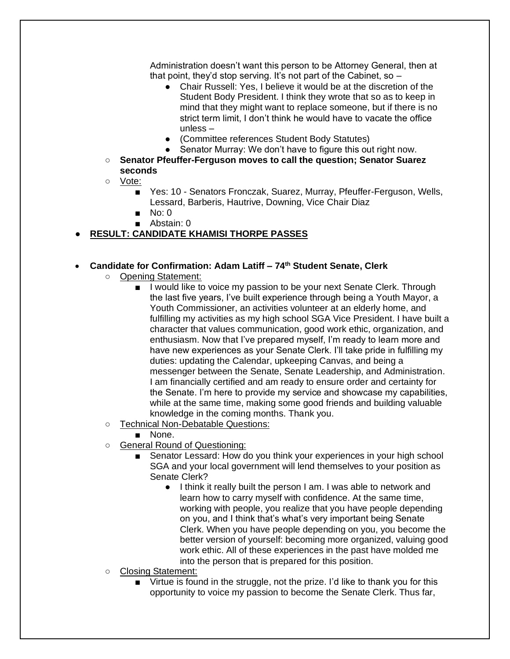Administration doesn't want this person to be Attorney General, then at that point, they'd stop serving. It's not part of the Cabinet, so  $-$ 

- Chair Russell: Yes, I believe it would be at the discretion of the Student Body President. I think they wrote that so as to keep in mind that they might want to replace someone, but if there is no strict term limit, I don't think he would have to vacate the office unless –
- (Committee references Student Body Statutes)
- Senator Murray: We don't have to figure this out right now.
- **Senator Pfeuffer-Ferguson moves to call the question; Senator Suarez seconds**
- Vote:
	- Yes: 10 Senators Fronczak, Suarez, Murray, Pfeuffer-Ferguson, Wells, Lessard, Barberis, Hautrive, Downing, Vice Chair Diaz
	- No: 0
	- Abstain: 0

## ● **RESULT: CANDIDATE KHAMISI THORPE PASSES**

### • **Candidate for Confirmation: Adam Latiff – 74th Student Senate, Clerk**

- Opening Statement:
	- I would like to voice my passion to be your next Senate Clerk. Through the last five years, I've built experience through being a Youth Mayor, a Youth Commissioner, an activities volunteer at an elderly home, and fulfilling my activities as my high school SGA Vice President. I have built a character that values communication, good work ethic, organization, and enthusiasm. Now that I've prepared myself, I'm ready to learn more and have new experiences as your Senate Clerk. I'll take pride in fulfilling my duties: updating the Calendar, upkeeping Canvas, and being a messenger between the Senate, Senate Leadership, and Administration. I am financially certified and am ready to ensure order and certainty for the Senate. I'm here to provide my service and showcase my capabilities, while at the same time, making some good friends and building valuable knowledge in the coming months. Thank you.
- Technical Non-Debatable Questions:
	- None.
- General Round of Questioning:
	- Senator Lessard: How do you think your experiences in your high school SGA and your local government will lend themselves to your position as Senate Clerk?
		- I think it really built the person I am. I was able to network and learn how to carry myself with confidence. At the same time, working with people, you realize that you have people depending on you, and I think that's what's very important being Senate Clerk. When you have people depending on you, you become the better version of yourself: becoming more organized, valuing good work ethic. All of these experiences in the past have molded me into the person that is prepared for this position.
- Closing Statement:
	- Virtue is found in the struggle, not the prize. I'd like to thank you for this opportunity to voice my passion to become the Senate Clerk. Thus far,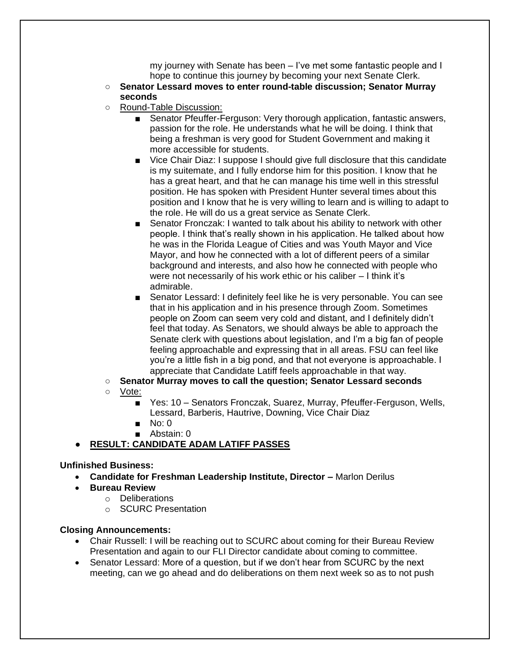my journey with Senate has been – I've met some fantastic people and I hope to continue this journey by becoming your next Senate Clerk.

- **Senator Lessard moves to enter round-table discussion; Senator Murray seconds**
- Round-Table Discussion:
	- Senator Pfeuffer-Ferguson: Very thorough application, fantastic answers, passion for the role. He understands what he will be doing. I think that being a freshman is very good for Student Government and making it more accessible for students.
	- Vice Chair Diaz: I suppose I should give full disclosure that this candidate is my suitemate, and I fully endorse him for this position. I know that he has a great heart, and that he can manage his time well in this stressful position. He has spoken with President Hunter several times about this position and I know that he is very willing to learn and is willing to adapt to the role. He will do us a great service as Senate Clerk.
	- Senator Fronczak: I wanted to talk about his ability to network with other people. I think that's really shown in his application. He talked about how he was in the Florida League of Cities and was Youth Mayor and Vice Mayor, and how he connected with a lot of different peers of a similar background and interests, and also how he connected with people who were not necessarily of his work ethic or his caliber – I think it's admirable.
	- Senator Lessard: I definitely feel like he is very personable. You can see that in his application and in his presence through Zoom. Sometimes people on Zoom can seem very cold and distant, and I definitely didn't feel that today. As Senators, we should always be able to approach the Senate clerk with questions about legislation, and I'm a big fan of people feeling approachable and expressing that in all areas. FSU can feel like you're a little fish in a big pond, and that not everyone is approachable. I appreciate that Candidate Latiff feels approachable in that way.
- **Senator Murray moves to call the question; Senator Lessard seconds**

### ○ Vote:

- Yes: 10 Senators Fronczak, Suarez, Murray, Pfeuffer-Ferguson, Wells, Lessard, Barberis, Hautrive, Downing, Vice Chair Diaz
- No: 0
- Abstain: 0

## ● **RESULT: CANDIDATE ADAM LATIFF PASSES**

## **Unfinished Business:**

- **Candidate for Freshman Leadership Institute, Director –** Marlon Derilus
- **Bureau Review**
	- o Deliberations
	- o SCURC Presentation

### **Closing Announcements:**

- Chair Russell: I will be reaching out to SCURC about coming for their Bureau Review Presentation and again to our FLI Director candidate about coming to committee.
- Senator Lessard: More of a question, but if we don't hear from SCURC by the next meeting, can we go ahead and do deliberations on them next week so as to not push